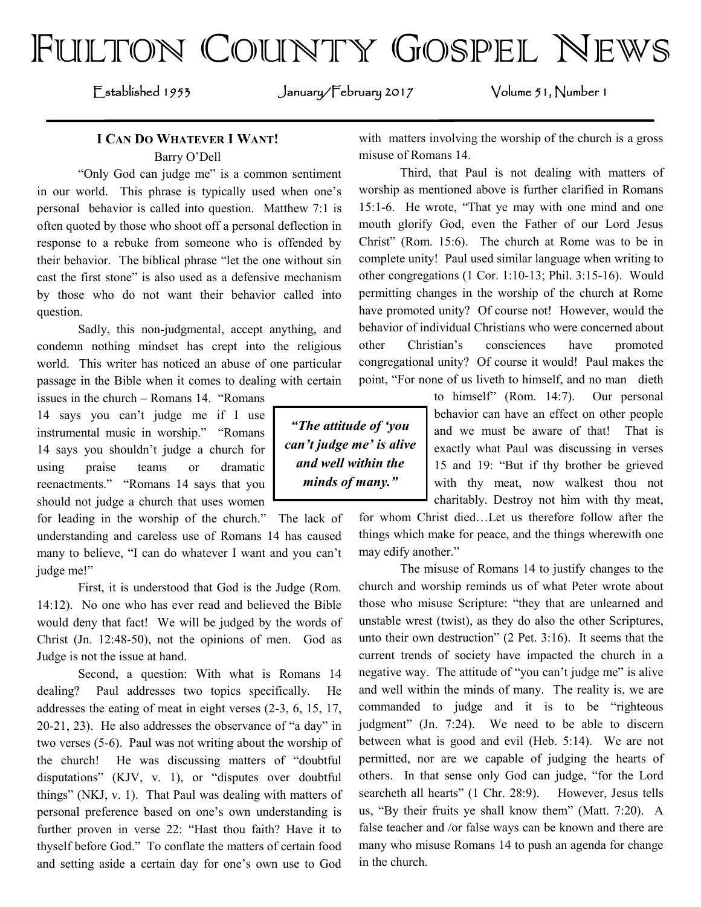# FULTON COUNTY GOSPEL NEWS

Established 1953 January/February 2017 Volume 51, Number 1

## **I CAN DO WHATEVER I WANT!** Barry O'Dell

"Only God can judge me" is a common sentiment in our world. This phrase is typically used when one's personal behavior is called into question. Matthew 7:1 is often quoted by those who shoot off a personal deflection in response to a rebuke from someone who is offended by their behavior. The biblical phrase "let the one without sin cast the first stone" is also used as a defensive mechanism by those who do not want their behavior called into question.

Sadly, this non-judgmental, accept anything, and condemn nothing mindset has crept into the religious world. This writer has noticed an abuse of one particular passage in the Bible when it comes to dealing with certain

issues in the church – Romans 14. "Romans 14 says you can't judge me if I use instrumental music in worship." "Romans 14 says you shouldn't judge a church for using praise teams or dramatic reenactments." "Romans 14 says that you should not judge a church that uses women

for leading in the worship of the church." The lack of understanding and careless use of Romans 14 has caused many to believe, "I can do whatever I want and you can't judge me!"

First, it is understood that God is the Judge (Rom. 14:12). No one who has ever read and believed the Bible would deny that fact! We will be judged by the words of Christ (Jn. 12:48-50), not the opinions of men. God as Judge is not the issue at hand.

Second, a question: With what is Romans 14 dealing? Paul addresses two topics specifically. He addresses the eating of meat in eight verses (2-3, 6, 15, 17, 20-21, 23). He also addresses the observance of "a day" in two verses (5-6). Paul was not writing about the worship of the church! He was discussing matters of "doubtful disputations" (KJV, v. 1), or "disputes over doubtful things" (NKJ, v. 1). That Paul was dealing with matters of personal preference based on one's own understanding is further proven in verse 22: "Hast thou faith? Have it to thyself before God." To conflate the matters of certain food and setting aside a certain day for one's own use to God with matters involving the worship of the church is a gross misuse of Romans 14.

Third, that Paul is not dealing with matters of worship as mentioned above is further clarified in Romans 15:1-6. He wrote, "That ye may with one mind and one mouth glorify God, even the Father of our Lord Jesus Christ" (Rom. 15:6). The church at Rome was to be in complete unity! Paul used similar language when writing to other congregations (1 Cor. 1:10-13; Phil. 3:15-16). Would permitting changes in the worship of the church at Rome have promoted unity? Of course not! However, would the behavior of individual Christians who were concerned about other Christian's consciences have promoted congregational unity? Of course it would! Paul makes the point, "For none of us liveth to himself, and no man dieth

*"The attitude of 'you can't judge me' is alive and well within the minds of many."*

to himself" (Rom. 14:7). Our personal behavior can have an effect on other people and we must be aware of that! That is exactly what Paul was discussing in verses 15 and 19: "But if thy brother be grieved with thy meat, now walkest thou not charitably. Destroy not him with thy meat,

for whom Christ died…Let us therefore follow after the things which make for peace, and the things wherewith one may edify another."

The misuse of Romans 14 to justify changes to the church and worship reminds us of what Peter wrote about those who misuse Scripture: "they that are unlearned and unstable wrest (twist), as they do also the other Scriptures, unto their own destruction" (2 Pet. 3:16). It seems that the current trends of society have impacted the church in a negative way. The attitude of "you can't judge me" is alive and well within the minds of many. The reality is, we are commanded to judge and it is to be "righteous judgment" (Jn. 7:24). We need to be able to discern between what is good and evil (Heb. 5:14). We are not permitted, nor are we capable of judging the hearts of others. In that sense only God can judge, "for the Lord searcheth all hearts" (1 Chr. 28:9). However, Jesus tells us, "By their fruits ye shall know them" (Matt. 7:20). A false teacher and /or false ways can be known and there are many who misuse Romans 14 to push an agenda for change in the church.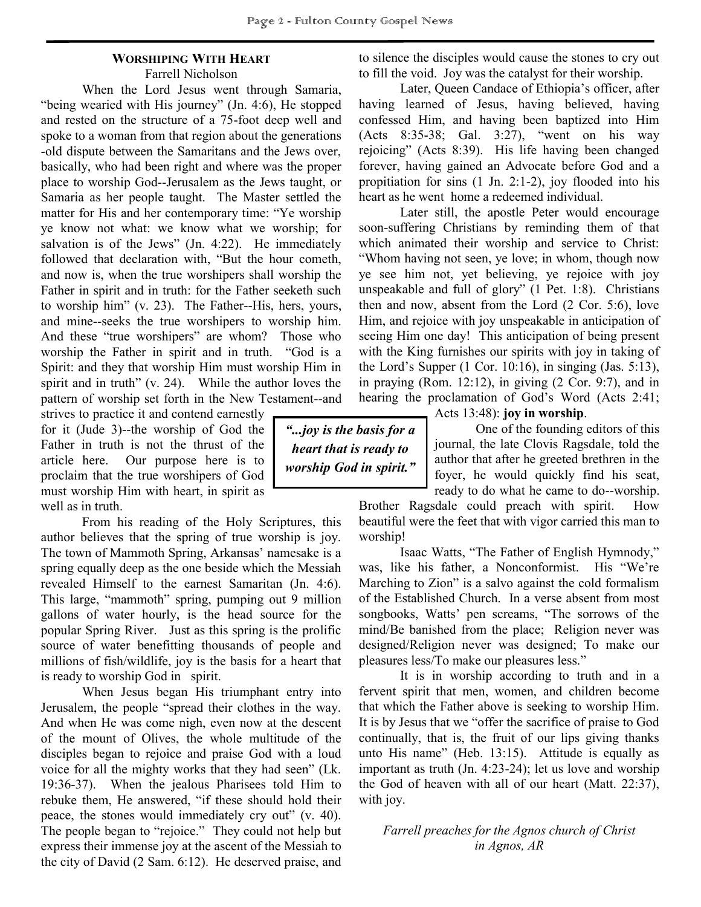#### **WORSHIPING WITH HEART** Farrell Nicholson

When the Lord Jesus went through Samaria, "being wearied with His journey" (Jn. 4:6), He stopped and rested on the structure of a 75-foot deep well and spoke to a woman from that region about the generations -old dispute between the Samaritans and the Jews over, basically, who had been right and where was the proper place to worship God--Jerusalem as the Jews taught, or Samaria as her people taught. The Master settled the matter for His and her contemporary time: "Ye worship ye know not what: we know what we worship; for salvation is of the Jews" (Jn. 4:22). He immediately followed that declaration with, "But the hour cometh, and now is, when the true worshipers shall worship the Father in spirit and in truth: for the Father seeketh such to worship him" (v. 23). The Father--His, hers, yours, and mine--seeks the true worshipers to worship him. And these "true worshipers" are whom? Those who worship the Father in spirit and in truth. "God is a Spirit: and they that worship Him must worship Him in spirit and in truth" (v. 24). While the author loves the pattern of worship set forth in the New Testament--and

strives to practice it and contend earnestly for it (Jude 3)--the worship of God the Father in truth is not the thrust of the article here. Our purpose here is to proclaim that the true worshipers of God must worship Him with heart, in spirit as well as in truth.

From his reading of the Holy Scriptures, this author believes that the spring of true worship is joy. The town of Mammoth Spring, Arkansas' namesake is a spring equally deep as the one beside which the Messiah revealed Himself to the earnest Samaritan (Jn. 4:6). This large, "mammoth" spring, pumping out 9 million gallons of water hourly, is the head source for the popular Spring River. Just as this spring is the prolific source of water benefitting thousands of people and millions of fish/wildlife, joy is the basis for a heart that is ready to worship God in spirit.

When Jesus began His triumphant entry into Jerusalem, the people "spread their clothes in the way. And when He was come nigh, even now at the descent of the mount of Olives, the whole multitude of the disciples began to rejoice and praise God with a loud voice for all the mighty works that they had seen" (Lk. 19:36-37). When the jealous Pharisees told Him to rebuke them, He answered, "if these should hold their peace, the stones would immediately cry out" (v. 40). The people began to "rejoice." They could not help but express their immense joy at the ascent of the Messiah to the city of David (2 Sam. 6:12). He deserved praise, and to silence the disciples would cause the stones to cry out to fill the void. Joy was the catalyst for their worship.

Later, Queen Candace of Ethiopia's officer, after having learned of Jesus, having believed, having confessed Him, and having been baptized into Him (Acts 8:35-38; Gal. 3:27), "went on his way rejoicing" (Acts 8:39). His life having been changed forever, having gained an Advocate before God and a propitiation for sins (1 Jn. 2:1-2), joy flooded into his heart as he went home a redeemed individual.

Later still, the apostle Peter would encourage soon-suffering Christians by reminding them of that which animated their worship and service to Christ: "Whom having not seen, ye love; in whom, though now ye see him not, yet believing, ye rejoice with joy unspeakable and full of glory" (1 Pet. 1:8). Christians then and now, absent from the Lord (2 Cor. 5:6), love Him, and rejoice with joy unspeakable in anticipation of seeing Him one day! This anticipation of being present with the King furnishes our spirits with joy in taking of the Lord's Supper  $(1 \text{ Cor. } 10:16)$ , in singing  $(Jas. 5:13)$ , in praying (Rom. 12:12), in giving (2 Cor. 9:7), and in hearing the proclamation of God's Word (Acts 2:41;

*"...joy is the basis for a heart that is ready to worship God in spirit."* Acts 13:48): **joy in worship**.

One of the founding editors of this journal, the late Clovis Ragsdale, told the author that after he greeted brethren in the foyer, he would quickly find his seat, ready to do what he came to do--worship.

Brother Ragsdale could preach with spirit. How beautiful were the feet that with vigor carried this man to worship!

Isaac Watts, "The Father of English Hymnody," was, like his father, a Nonconformist. His "We're Marching to Zion" is a salvo against the cold formalism of the Established Church. In a verse absent from most songbooks, Watts' pen screams, "The sorrows of the mind/Be banished from the place; Religion never was designed/Religion never was designed; To make our pleasures less/To make our pleasures less."

It is in worship according to truth and in a fervent spirit that men, women, and children become that which the Father above is seeking to worship Him. It is by Jesus that we "offer the sacrifice of praise to God continually, that is, the fruit of our lips giving thanks unto His name" (Heb. 13:15). Attitude is equally as important as truth (Jn. 4:23-24); let us love and worship the God of heaven with all of our heart (Matt. 22:37), with joy.

*Farrell preaches for the Agnos church of Christ in Agnos, AR*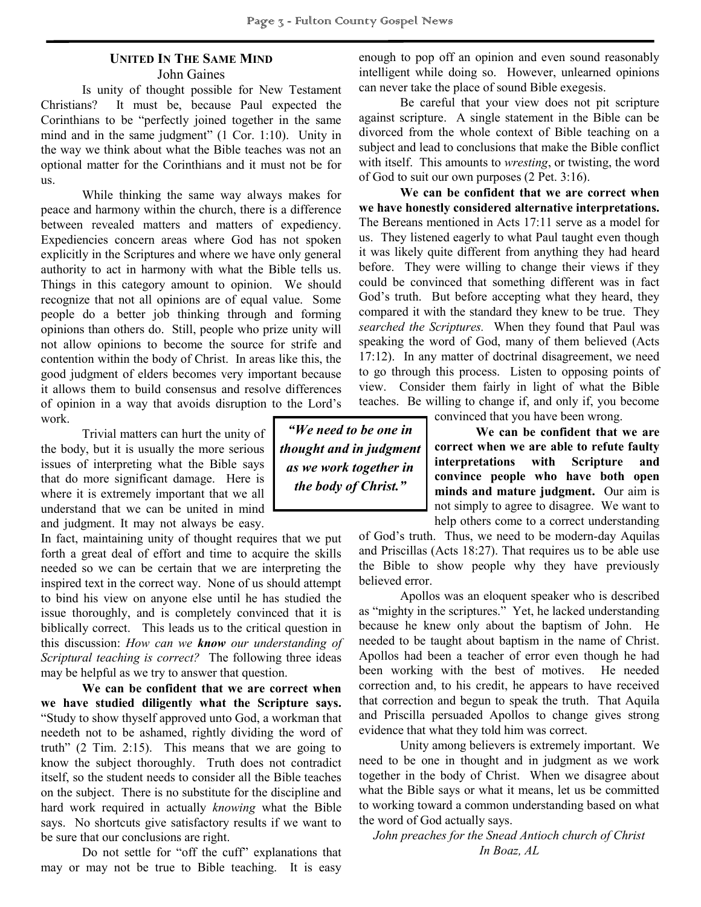# **UNITED IN THE SAME MIND**

John Gaines

Is unity of thought possible for New Testament Christians? It must be, because Paul expected the Corinthians to be "perfectly joined together in the same mind and in the same judgment" (1 Cor. 1:10). Unity in the way we think about what the Bible teaches was not an optional matter for the Corinthians and it must not be for us.

While thinking the same way always makes for peace and harmony within the church, there is a difference between revealed matters and matters of expediency. Expediencies concern areas where God has not spoken explicitly in the Scriptures and where we have only general authority to act in harmony with what the Bible tells us. Things in this category amount to opinion. We should recognize that not all opinions are of equal value. Some people do a better job thinking through and forming opinions than others do. Still, people who prize unity will not allow opinions to become the source for strife and contention within the body of Christ. In areas like this, the good judgment of elders becomes very important because it allows them to build consensus and resolve differences of opinion in a way that avoids disruption to the Lord's work.

Trivial matters can hurt the unity of the body, but it is usually the more serious issues of interpreting what the Bible says that do more significant damage. Here is where it is extremely important that we all understand that we can be united in mind and judgment. It may not always be easy.

In fact, maintaining unity of thought requires that we put forth a great deal of effort and time to acquire the skills needed so we can be certain that we are interpreting the inspired text in the correct way. None of us should attempt to bind his view on anyone else until he has studied the issue thoroughly, and is completely convinced that it is biblically correct. This leads us to the critical question in this discussion: *How can we know our understanding of Scriptural teaching is correct?* The following three ideas may be helpful as we try to answer that question.

**We can be confident that we are correct when we have studied diligently what the Scripture says.**  "Study to show thyself approved unto God, a workman that needeth not to be ashamed, rightly dividing the word of truth" (2 Tim. 2:15). This means that we are going to know the subject thoroughly. Truth does not contradict itself, so the student needs to consider all the Bible teaches on the subject. There is no substitute for the discipline and hard work required in actually *knowing* what the Bible says. No shortcuts give satisfactory results if we want to be sure that our conclusions are right.

Do not settle for "off the cuff" explanations that may or may not be true to Bible teaching. It is easy enough to pop off an opinion and even sound reasonably intelligent while doing so. However, unlearned opinions can never take the place of sound Bible exegesis.

Be careful that your view does not pit scripture against scripture. A single statement in the Bible can be divorced from the whole context of Bible teaching on a subject and lead to conclusions that make the Bible conflict with itself. This amounts to *wresting*, or twisting, the word of God to suit our own purposes (2 Pet. 3:16).

**We can be confident that we are correct when we have honestly considered alternative interpretations.**  The Bereans mentioned in Acts 17:11 serve as a model for us. They listened eagerly to what Paul taught even though it was likely quite different from anything they had heard before. They were willing to change their views if they could be convinced that something different was in fact God's truth. But before accepting what they heard, they compared it with the standard they knew to be true. They *searched the Scriptures.* When they found that Paul was speaking the word of God, many of them believed (Acts 17:12). In any matter of doctrinal disagreement, we need to go through this process. Listen to opposing points of view. Consider them fairly in light of what the Bible teaches. Be willing to change if, and only if, you become

*"We need to be one in thought and in judgment as we work together in the body of Christ."*

convinced that you have been wrong.

**We can be confident that we are correct when we are able to refute faulty interpretations with Scripture and convince people who have both open minds and mature judgment.** Our aim is not simply to agree to disagree. We want to help others come to a correct understanding

of God's truth. Thus, we need to be modern-day Aquilas and Priscillas (Acts 18:27). That requires us to be able use the Bible to show people why they have previously believed error.

Apollos was an eloquent speaker who is described as "mighty in the scriptures." Yet, he lacked understanding because he knew only about the baptism of John. He needed to be taught about baptism in the name of Christ. Apollos had been a teacher of error even though he had been working with the best of motives. He needed correction and, to his credit, he appears to have received that correction and begun to speak the truth. That Aquila and Priscilla persuaded Apollos to change gives strong evidence that what they told him was correct.

Unity among believers is extremely important. We need to be one in thought and in judgment as we work together in the body of Christ. When we disagree about what the Bible says or what it means, let us be committed to working toward a common understanding based on what the word of God actually says.

*John preaches for the Snead Antioch church of Christ In Boaz, AL*